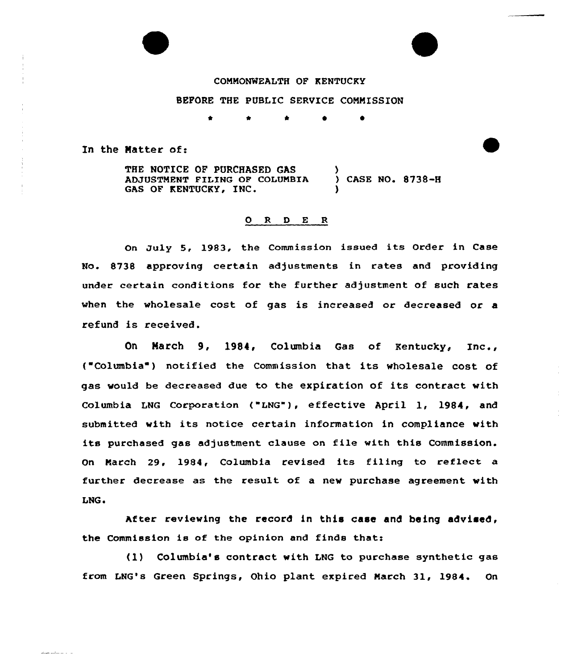# COMMONWEALTH OF KENTUCKY

# BEFORE THE PUBLIC SERVICE COMMISSION

In the Matter of:

THE NOTICE OF PURCHASED GAS ADJUSTMENT FILING OF COLUMBIA GAS OF KENTUCKY, INC. ) ) CASE NO. 8738-H )

## 0 <sup>R</sup> <sup>D</sup> E <sup>R</sup>

On July 5, 1983, the Commission issued its Order in Case No. 8738 approving certain adjustments in rates and providing under certain conditions for the further adjustment of such rates when the wholesale cost of gas is increased or decreased or a refund is received.

On March 9, 1984, Columbia Gas of Kentucky, Inc., ("Columbia ) notified the Commission that its wholesale cost of gas would be decreased due to the expiration of its contract with Columbia LNG Corporation ("LNG"), effective April 1, 1984, and submitted with its notice certain information in compliance with its purchased gas adjustment clause on file with this Commission. On March 29, 1984, Columbia revised its filing to reflect a further decrease as the result of a new purchase agreement with LNG.

After reviewing the record in this case and being advised, the Commission is of the opinion and finds that:

(1) Columbia's contract with LNG to purchase synthetic gas from LNG's Green Springs, Ohio plant expired March 31, 1984. On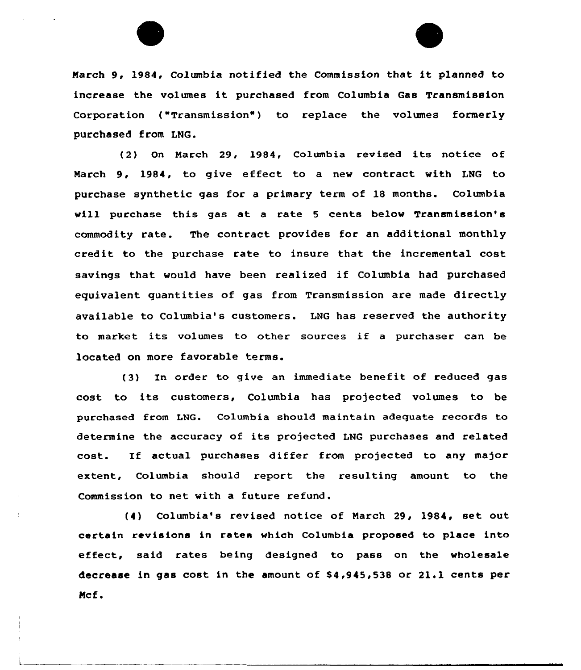

(2) On March 29, 1984, Columbia revised its notice of Nareh 9, 1984, to give effect to a new contract with LNG to purchase synthetic gas for a primary term of 18 months. Columbia vill purchase this gas at a rate <sup>5</sup> cents below Transmission's commodity rate. The contract provides for an additional monthly credit to the purchase rate to insure that the incremental cost savings that would have been realized if Columbia had purchased equivalent quantities of gas from Transmission are made directly available to Columbia's customers. LNG has reserved the authority to market its volumes to other sources if <sup>a</sup> purchaser can be located on more favorable terms.

(3) In order to give an immediate benefit of reduced gas cost, to its customers, Columbia has projected volumes to be purchased from LNG. Columbia should maintain adequate records to determine the accuracy of its projected LHG purchases and related cost. If actual purchases differ from projected to any major extent, Columbia should report the resulting amount to the Commission to net with a future refund.

(4) Columbia's revised notice of March 29, 1984, set out certain revisions in rates which Columbia proposed to place into effect, said rates being designed to pass on the wholesale decrease in gas cost in the amount of \$4,945,538 or 21.1 cents per Mcf.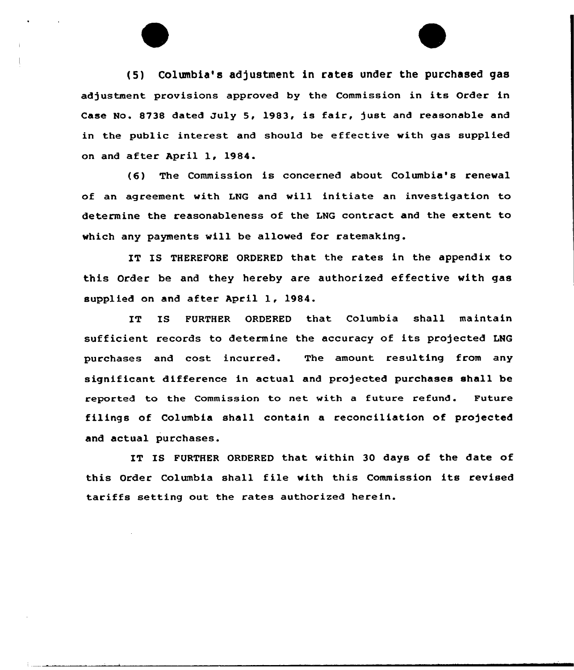(5) Columbia's adjustment in rates under the purchased gas adjustment provisions approved by the Commission in its Order in Case No. 8738 dated July 5, 1983, is fair, just and reasonable and in the public interest and should be effective with gas supplied on and after April 1, 1984.

(6) The Commission is concerned about Columbia's renewal of an agreement with LNG and will initiate an investigation to determine the reasonableness of the LNG contract and the extent to which any payments will be allowed for ratemaking.

IT IS THEREFORE ORDERED that the rates in the appendix to this Order be and they hereby are authorized effective with gas supplied on and after April 1, 1984.

IT IS FURTHER ORDERED that Columbia shall maintain sufficient records to determine the accuracy of its projected LNG purchases and cost incurred. The amount resulting from any significant difference in actual and projected purchases shall be reported to the Commission to net with a future refund. Future filings of Columbia shall contain a reconciliation of projected and actual purchases.

IT IS FURTHER ORDERED that within 30 days of the date of this Order Columbia shall file with this Commission its revised tariffs setting out the rates authorized herein.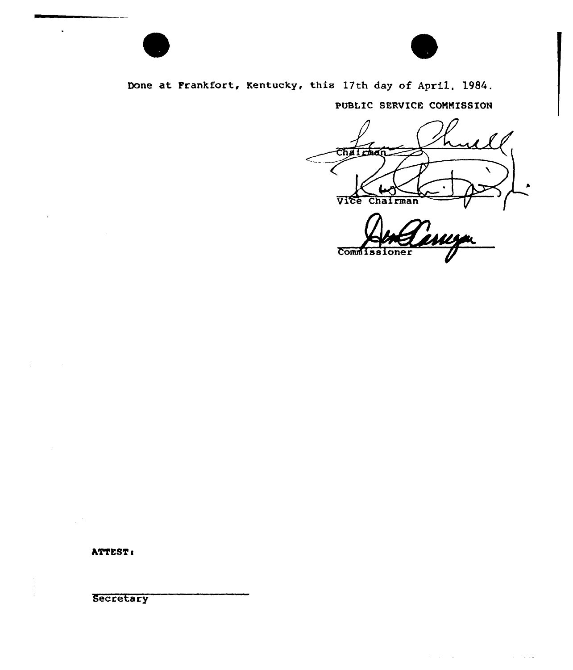

Done at Frankfort, Kentucky, this 17th day of April, 1984.

PUBLIC SERVICE CONNISSION

Chairman VICe Chairman

Commissi

 $\mathcal{L}^{\mathcal{A}}(\mathcal{A})$  and  $\mathcal{L}^{\mathcal{A}}(\mathcal{A})$  and  $\mathcal{L}^{\mathcal{A}}(\mathcal{A})$  and  $\mathcal{L}^{\mathcal{A}}(\mathcal{A})$ 

 $\varphi$  and

**ATTEST:** 

 $\bullet$ 

**Secretary**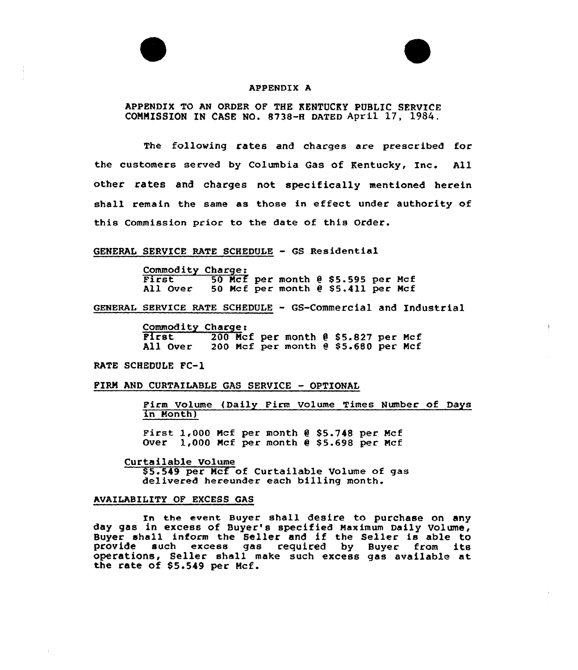



### APPENDIX A

APPENDIX TO AN ORDER OF THE KENTUCKY PUBLIC SERVICE COMMISSION IN CASE NO. 8738-H DATED April 17, 1984.

The following rates and charges are prescribed for the customers served by Columbia Gas of Kentucky, Inc. All other rates and charges not specifically mentioned herein shall remain the same as those in effect under authority of this Commission prior to the date of this Order.

# GENERAL SERVICE RATE SCHEDULE — GS Residential

Commodity Charge:<br>First 50 Mcf per month 0 \$5.595 per Mcf<br>All Over 50 Mcf per month 0 \$5.411 per Mcf 50 Mcf per month  $e$  \$5.411 per Mcf

GENERAL sERvIcE RATE sCHEDULE - GS-Commercial and Industrial

Commodity Charge:<br>
First 200 Mcf per month @ \$5.827 per Mcf<br>
All Over 200 Mcf per month @ \$5.680 per Mcf 200 Mcf per month @ \$5.680 per Mcf

RATE SCHEDULE FC-1

## FIRM AND CURTAILABLE GAS SERVICE - OPTIONAL

Firm Volume (Daily Firm Volume Times Number of Days in Month)

First  $1,000$  Mcf per month  $0.55.748$  per Mcf Over  $1,000$  Mcf per month  $0$  \$5.698 per Mcf

Curtailable Volume

\$5.549 per Mcf of Curtailable Volume of gas delivered hereunder each billing month.

# AVAILABILITY OF EXCESS GAS

In the event Buyer shall desire to purchase on any day gas in excess of Buyer's specified Maximum Daily Volume, Buyer shall inform the Seller and if the Seller is able to<br>provide such excess gas required by Buyer from its such excess gas required by Buyer from its operations, Seller shall make such excess gas available at the rate of \$5.549 per Mcf.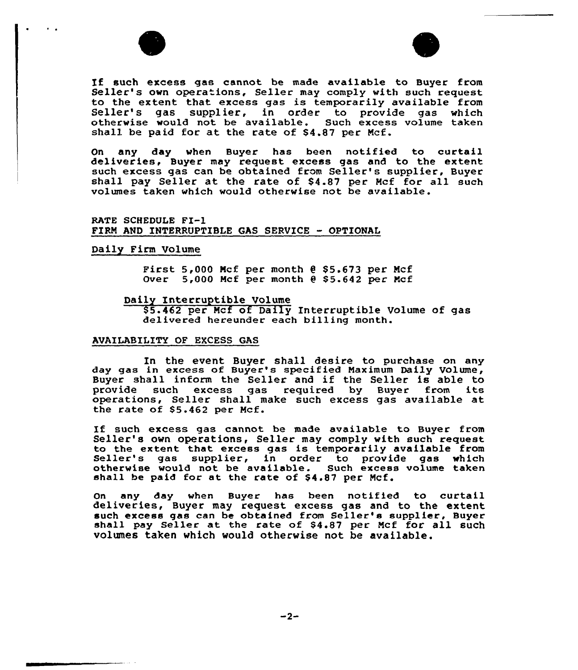



If such excess gas cannot be made available to Buyer from<br>Seller's own operations, Seller may comply with such request<br>to the extent that excess gas is temporarily available from to the extent that excess gas is temporarily available from Seller's gas supplier, in order to provide gas which otherwise would not be available. Such excess volume taken shall be paid for at the rate of  $$4.87$  per Mcf.

On any day when Buyer has been notified to curtail deliveries, Buyer may request excess gas and to the extent such excess gas can he obtained from Seller's supplier, Buyer shall pay Seller at the rate of \$4.87 per Mcf for all such volumes taken which would otherwise not be available.

RATE SCHEDULE FI-1 FIRM AND INTERRUPTIBLE GAS SERVICE - OPTIONAL

# Daily Firm Volume

First  $5,000$  Mcf per month  $e$  \$5.673 per Mcf Over  $5,000$  Mcf per month  $0.55.642$  per Mcf

### Daily Interruptible Volume

85.462 per Mcf of Daily Interruptible Volume of gas delivered hereunder each billing month.

## AVAILABILITY QF EXCESS GAS

In the event Buyer shall desire to purchase on any day gas in excess of Buyer's specified Maximum Daily Uolume, Buyer shall inform the Seller and if the Seller is able to<br>provide such excess gas required by Buyer from its provide such excess gas required by Buyer from operations, Seller shall make such excess gas available at the rate of 85.462 per Mcf.

If such excess gas cannot be made available to Buyer from<br>Seller's own operations, Seller may comply with such request<br>to the extent that excess gas is temporarily available from to the extent that excess gas is temporarily available from Seller's gas supplier, in order to provide gas which otherwise would not be available. Such excess volume taken shall be paid for at the rate of \$4.87 per Mcf.

On any day when Buyer has been notified to curtail deliveries, Buyer may request excess gas and to the extent shall pay Seller at the rate of \$4.87 per Mcf for all such volumes taken which would otherwise not be available.